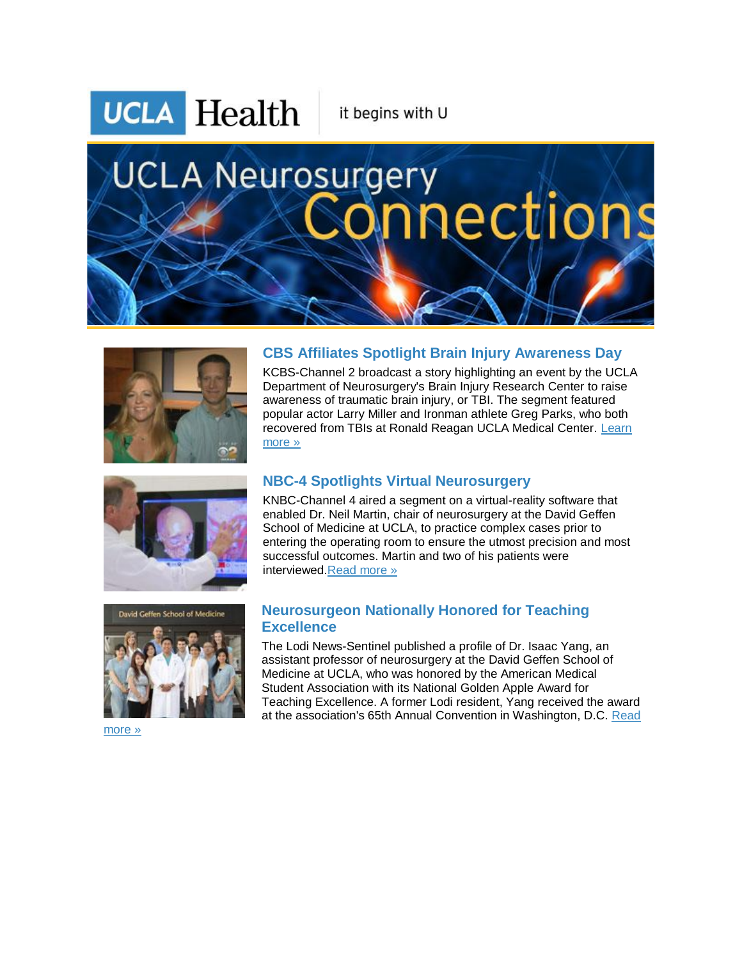**UCLA** Health

it begins with U

# **UCLA Neurosurgery** aections



#### Department of Neurosurgery's Brain Injury Research Center to raise awareness of traumatic brain injury, or TBI. The segment featured popular actor Larry Miller and Ironman athlete Greg Parks, who both recovered from TBIs at Ronald Reagan UCLA Medical Center. [Learn](http://r20.rs6.net/tn.jsp?f=0018qK4kcELVpJXq72JN0sBlVns2tvGlufR9J2c8EeP2U9B1HPM_zUX1stWCJ69YbJZvk2DbeWOgfLA5DUBcdzevrJUcyhLmXrvWInzuXmnKGg2_6l45qBDLL6450i0Dpv7GHjVCL9cu-YpxkSwjJPYadKwSniamQushuT6p6A2FzgpkzkrsTIH6Y1gMgNklSzXMVgENe0o5xWPzRj1p7gx7GrT6OPhhdSKCfrIezThOwJjXYM81eksSNg6eEpycB_iJz7yoEeXFtT5QXqcf_T6KdZElvnzvS_iizjzQKkE01Yd0wOY0hDdqL4mQ6Ka5N-qHQOlzulOuEjviibu4GpNI7YsF4gF_SixzK3P0dvwwqwPAIFi6ULSXean_XhVxzVw3VpsP4Vqc6JgE1i9YKveran-i1mtMPGCFil841BgvsCjWCSvUhk_A_pcCX3PcnxZgGbaHRklHaOjWs5NfP-zifA5vnwVdxLc&c=FOat2WPIAwQPSjdzk7zfJb5WCTj_mSLwfT1M78pgHO5fc6Y0h00Y9A==&ch=99efqnFLbnjK0tkDJq_fiT0RLA8KK7XnYSvQNyQ82SWiCRY9fjmuAw==)  [more »](http://r20.rs6.net/tn.jsp?f=0018qK4kcELVpJXq72JN0sBlVns2tvGlufR9J2c8EeP2U9B1HPM_zUX1stWCJ69YbJZvk2DbeWOgfLA5DUBcdzevrJUcyhLmXrvWInzuXmnKGg2_6l45qBDLL6450i0Dpv7GHjVCL9cu-YpxkSwjJPYadKwSniamQushuT6p6A2FzgpkzkrsTIH6Y1gMgNklSzXMVgENe0o5xWPzRj1p7gx7GrT6OPhhdSKCfrIezThOwJjXYM81eksSNg6eEpycB_iJz7yoEeXFtT5QXqcf_T6KdZElvnzvS_iizjzQKkE01Yd0wOY0hDdqL4mQ6Ka5N-qHQOlzulOuEjviibu4GpNI7YsF4gF_SixzK3P0dvwwqwPAIFi6ULSXean_XhVxzVw3VpsP4Vqc6JgE1i9YKveran-i1mtMPGCFil841BgvsCjWCSvUhk_A_pcCX3PcnxZgGbaHRklHaOjWs5NfP-zifA5vnwVdxLc&c=FOat2WPIAwQPSjdzk7zfJb5WCTj_mSLwfT1M78pgHO5fc6Y0h00Y9A==&ch=99efqnFLbnjK0tkDJq_fiT0RLA8KK7XnYSvQNyQ82SWiCRY9fjmuAw==)





## **NBC-4 Spotlights Virtual Neurosurgery**

KNBC-Channel 4 aired a segment on a virtual-reality software that enabled Dr. Neil Martin, chair of neurosurgery at the David Geffen School of Medicine at UCLA, to practice complex cases prior to entering the operating room to ensure the utmost precision and most successful outcomes. Martin and two of his patients were interviewed[.Read more »](http://r20.rs6.net/tn.jsp?f=0018qK4kcELVpJXq72JN0sBlVns2tvGlufR9J2c8EeP2U9B1HPM_zUX1stWCJ69YbJZjSMxJE9BPINzB8FMczou4P04kIfyebouwDkbLod6o8-7b-Fqep1JpVrk9bYizmtdwlYz7CEtcBTW7NbfuRI8mJ5xPstV3oT1AFZL3ezFsiPsToMq011nb2GE5Mth0NjhQIMFJFCo59JyUt8VxWH1Rooi1_z-Nbdp_JXK_Heo7Ai-fEsAVbYlAXBpm8ayWqYUJFn9pBeZGHh0ga-O_jkSUqn6rpGww77bd9yAxVd-X2ISPyIVzLcbnWQp4ijAIejqXi5ijg6Rq_gwKVCHE-cf6tPJFlp9TO7kf9xjiArhND02xBXuwn5DOzGjbV8ISSn5WNc7lKKVULXHiwr-VUWXRzP6mrNy81jMyD2cuh4A8ssLy2gD-XJyDdgnrT-9snMaHvJIKA6No8oVjpPrfDr9p4jWNQl9o9kG&c=FOat2WPIAwQPSjdzk7zfJb5WCTj_mSLwfT1M78pgHO5fc6Y0h00Y9A==&ch=99efqnFLbnjK0tkDJq_fiT0RLA8KK7XnYSvQNyQ82SWiCRY9fjmuAw==)

**CBS Affiliates Spotlight Brain Injury Awareness Day** KCBS-Channel 2 broadcast a story highlighting an event by the UCLA

### **Neurosurgeon Nationally Honored for Teaching Excellence**

The Lodi News-Sentinel published a profile of Dr. Isaac Yang, an assistant professor of neurosurgery at the David Geffen School of Medicine at UCLA, who was honored by the American Medical Student Association with its National Golden Apple Award for Teaching Excellence. A former Lodi resident, Yang received the award at the association's 65th Annual Convention in Washington, D.C. [Read](http://r20.rs6.net/tn.jsp?f=0018qK4kcELVpJXq72JN0sBlVns2tvGlufR9J2c8EeP2U9B1HPM_zUX1stWCJ69YbJZfHkGNp2rvkZn9df_AoVVPt34hOdMw1dbfVhZzkQN_ggFjl29tS6R7pt9Bo-gCYDScDAfLuT2J7IwXSj600gMJEaQJIpvjQG4sEnUUH3N_uevzvePJPT2uUVSXYo54emuH9bDTafBolJKOX483mX5qNnNaLYPe0zjr7dwdsURKzdRETkHwAQli5zWwrXFYj2qqx8N0EnkaRRBbRu_O74qZzbY7Z_eGH44HO4bIQqZmemdYlUueVx6aa-RFUO_OsmGEOqUu4TK8kBGAgvGic-Ae9t5WmYO41YwMpgH3hw1ysT57adW_GKXinqdZ-7IRKDPjmd8AYYrn5MfCQyId9IO6Y6N7q1fvn6zST_jb1ky7BdFfcOUiPbBiA==&c=FOat2WPIAwQPSjdzk7zfJb5WCTj_mSLwfT1M78pgHO5fc6Y0h00Y9A==&ch=99efqnFLbnjK0tkDJq_fiT0RLA8KK7XnYSvQNyQ82SWiCRY9fjmuAw==) 

[more »](http://r20.rs6.net/tn.jsp?f=0018qK4kcELVpJXq72JN0sBlVns2tvGlufR9J2c8EeP2U9B1HPM_zUX1stWCJ69YbJZfHkGNp2rvkZn9df_AoVVPt34hOdMw1dbfVhZzkQN_ggFjl29tS6R7pt9Bo-gCYDScDAfLuT2J7IwXSj600gMJEaQJIpvjQG4sEnUUH3N_uevzvePJPT2uUVSXYo54emuH9bDTafBolJKOX483mX5qNnNaLYPe0zjr7dwdsURKzdRETkHwAQli5zWwrXFYj2qqx8N0EnkaRRBbRu_O74qZzbY7Z_eGH44HO4bIQqZmemdYlUueVx6aa-RFUO_OsmGEOqUu4TK8kBGAgvGic-Ae9t5WmYO41YwMpgH3hw1ysT57adW_GKXinqdZ-7IRKDPjmd8AYYrn5MfCQyId9IO6Y6N7q1fvn6zST_jb1ky7BdFfcOUiPbBiA==&c=FOat2WPIAwQPSjdzk7zfJb5WCTj_mSLwfT1M78pgHO5fc6Y0h00Y9A==&ch=99efqnFLbnjK0tkDJq_fiT0RLA8KK7XnYSvQNyQ82SWiCRY9fjmuAw==)